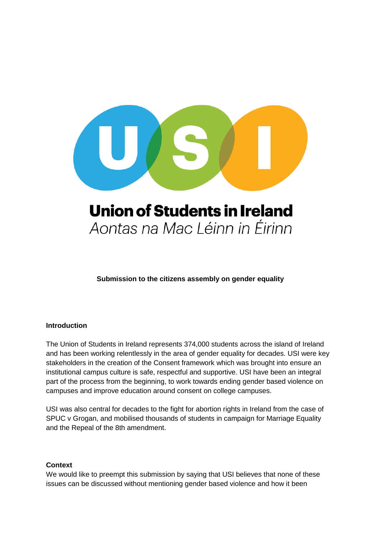

# **Union of Students in Ireland** Aontas na Mac Léinn in Éirinn

**Submission to the citizens assembly on gender equality** 

# **Introduction**

The Union of Students in Ireland represents 374,000 students across the island of Ireland and has been working relentlessly in the area of gender equality for decades. USI were key stakeholders in the creation of the Consent framework which was brought into ensure an institutional campus culture is safe, respectful and supportive. USI have been an integral part of the process from the beginning, to work towards ending gender based violence on campuses and improve education around consent on college campuses.

USI was also central for decades to the fight for abortion rights in Ireland from the case of SPUC v Grogan, and mobilised thousands of students in campaign for Marriage Equality and the Repeal of the 8th amendment.

#### **Context**

We would like to preempt this submission by saying that USI believes that none of these issues can be discussed without mentioning gender based violence and how it been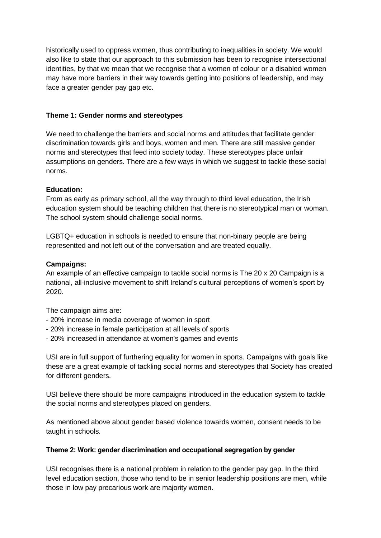historically used to oppress women, thus contributing to inequalities in society. We would also like to state that our approach to this submission has been to recognise intersectional identities, by that we mean that we recognise that a women of colour or a disabled women may have more barriers in their way towards getting into positions of leadership, and may face a greater gender pay gap etc.

## **Theme 1: Gender norms and stereotypes**

We need to challenge the barriers and social norms and attitudes that facilitate gender discrimination towards girls and boys, women and men. There are still massive gender norms and stereotypes that feed into society today. These stereotypes place unfair assumptions on genders. There are a few ways in which we suggest to tackle these social norms.

## **Education:**

From as early as primary school, all the way through to third level education, the Irish education system should be teaching children that there is no stereotypical man or woman. The school system should challenge social norms.

LGBTQ+ education in schools is needed to ensure that non-binary people are being representted and not left out of the conversation and are treated equally.

## **Campaigns:**

An example of an effective campaign to tackle social norms is The 20 x 20 Campaign is a national, all-inclusive movement to shift Ireland's cultural perceptions of women's sport by 2020.

The campaign aims are:

- 20% increase in media coverage of women in sport
- 20% increase in female participation at all levels of sports
- 20% increased in attendance at women's games and events

USI are in full support of furthering equality for women in sports. Campaigns with goals like these are a great example of tackling social norms and stereotypes that Society has created for different genders.

USI believe there should be more campaigns introduced in the education system to tackle the social norms and stereotypes placed on genders.

As mentioned above about gender based violence towards women, consent needs to be taught in schools.

#### **Theme 2: Work: gender discrimination and occupational segregation by gender**

USI recognises there is a national problem in relation to the gender pay gap. In the third level education section, those who tend to be in senior leadership positions are men, while those in low pay precarious work are majority women.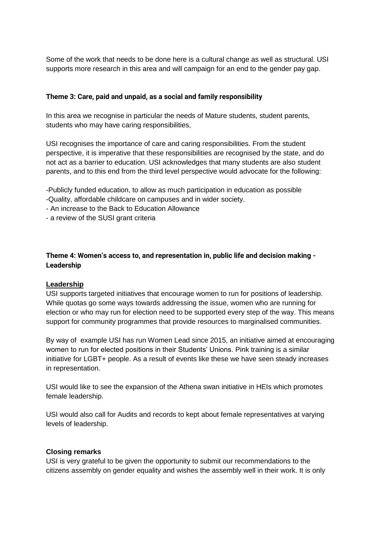Some of the work that needs to be done here is a cultural change as well as structural. USI supports more research in this area and will campaign for an end to the gender pay gap.

## **Theme 3: Care, paid and unpaid, as a social and family responsibility**

In this area we recognise in particular the needs of Mature students, student parents, students who may have caring responsibilities,

USI recognises the importance of care and caring responsibilities. From the student perspective, it is imperative that these responsibilities are recognised by the state, and do not act as a barrier to education. USI acknowledges that many students are also student parents, and to this end from the third level perspective would advocate for the following:

- -Publicly funded education, to allow as much participation in education as possible -Quality, affordable childcare on campuses and in wider society.
- An increase to the Back to Education Allowance
- a review of the SUSI grant criteria

# **Theme 4: Women's access to, and representation in, public life and decision making - Leadership**

#### **Leadership**

USI supports targeted initiatives that encourage women to run for positions of leadership. While quotas go some ways towards addressing the issue, women who are running for election or who may run for election need to be supported every step of the way. This means support for community programmes that provide resources to marginalised communities.

By way of example USI has run Women Lead since 2015, an initiative aimed at encouraging women to run for elected positions in their Students' Unions. Pink training is a similar initiative for LGBT+ people. As a result of events like these we have seen steady increases in representation.

USI would like to see the expansion of the Athena swan initiative in HEIs which promotes female leadership.

USI would also call for Audits and records to kept about female representatives at varying levels of leadership.

#### **Closing remarks**

USI is very grateful to be given the opportunity to submit our recommendations to the citizens assembly on gender equality and wishes the assembly well in their work. It is only